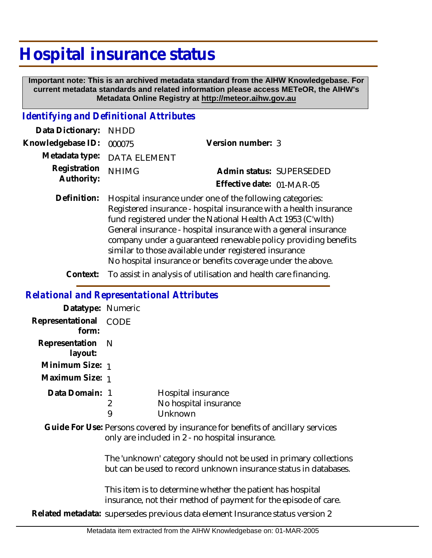# **Hospital insurance status**

 **Important note: This is an archived metadata standard from the AIHW Knowledgebase. For current metadata standards and related information please access METeOR, the AIHW's Metadata Online Registry at http://meteor.aihw.gov.au**

## *Identifying and Definitional Attributes*

| Data Dictionary: NHDD      |                             |                           |  |
|----------------------------|-----------------------------|---------------------------|--|
| Knowledgebase ID: 000075   |                             | Version number: 3         |  |
|                            | Metadata type: DATA ELEMENT |                           |  |
| Registration<br>Authority: | <b>NHIMG</b>                | Admin status: SUPERSEDED  |  |
|                            |                             | Effective date: 01-MAR-05 |  |
|                            |                             |                           |  |

Hospital insurance under one of the following categories: Registered insurance - hospital insurance with a health insurance fund registered under the National Health Act 1953 (C'wlth) General insurance - hospital insurance with a general insurance company under a guaranteed renewable policy providing benefits similar to those available under registered insurance No hospital insurance or benefits coverage under the above. **Definition:**

**Context:** To assist in analysis of utilisation and health care financing.

#### *Relational and Representational Attributes*

|                                                                                                                                   | Datatype: Numeric                                                             |                                                                                                                                      |                                                        |  |  |
|-----------------------------------------------------------------------------------------------------------------------------------|-------------------------------------------------------------------------------|--------------------------------------------------------------------------------------------------------------------------------------|--------------------------------------------------------|--|--|
|                                                                                                                                   | Representational CODE<br>form:                                                |                                                                                                                                      |                                                        |  |  |
|                                                                                                                                   | Representation<br>layout:                                                     | - N                                                                                                                                  |                                                        |  |  |
|                                                                                                                                   | Minimum Size: 1                                                               |                                                                                                                                      |                                                        |  |  |
|                                                                                                                                   | Maximum Size: 1                                                               |                                                                                                                                      |                                                        |  |  |
|                                                                                                                                   | Data Domain: 1                                                                | 2<br>9                                                                                                                               | Hospital insurance<br>No hospital insurance<br>Unknown |  |  |
| Guide For Use: Persons covered by insurance for benefits of ancillary services<br>only are included in 2 - no hospital insurance. |                                                                               |                                                                                                                                      |                                                        |  |  |
|                                                                                                                                   |                                                                               | The 'unknown' category should not be used in primary collections<br>but can be used to record unknown insurance status in databases. |                                                        |  |  |
|                                                                                                                                   |                                                                               | This item is to determine whether the patient has hospital<br>insurance, not their method of payment for the episode of care.        |                                                        |  |  |
|                                                                                                                                   | Related metadata: supersedes previous data element Insurance status version 2 |                                                                                                                                      |                                                        |  |  |